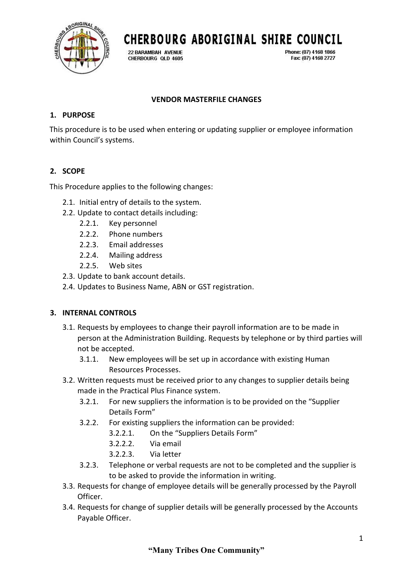

**CHERBOURG ABORIGINAL SHIRE COUNCIL** 

22 BARAMBAH AVENUE CHERBOURG OLD 4605 Phone: (07) 4168 1866 Fax: (07) 4168 2727

## **VENDOR MASTERFILE CHANGES**

### **1. PURPOSE**

This procedure is to be used when entering or updating supplier or employee information within Council's systems.

# **2. SCOPE**

This Procedure applies to the following changes:

- 2.1. Initial entry of details to the system.
- 2.2. Update to contact details including:
	- 2.2.1. Key personnel
	- 2.2.2. Phone numbers
	- 2.2.3. Email addresses
	- 2.2.4. Mailing address
	- 2.2.5. Web sites
- 2.3. Update to bank account details.
- 2.4. Updates to Business Name, ABN or GST registration.

# **3. INTERNAL CONTROLS**

- 3.1. Requests by employees to change their payroll information are to be made in person at the Administration Building. Requests by telephone or by third parties will not be accepted.
	- 3.1.1. New employees will be set up in accordance with existing Human Resources Processes.
- 3.2. Written requests must be received prior to any changes to supplier details being made in the Practical Plus Finance system.
	- 3.2.1. For new suppliers the information is to be provided on the "Supplier Details Form"
	- 3.2.2. For existing suppliers the information can be provided:
		- 3.2.2.1. On the "Suppliers Details Form"
		- 3.2.2.2. Via email
		- 3.2.2.3. Via letter
	- 3.2.3. Telephone or verbal requests are not to be completed and the supplier is to be asked to provide the information in writing.
- 3.3. Requests for change of employee details will be generally processed by the Payroll Officer.
- 3.4. Requests for change of supplier details will be generally processed by the Accounts Payable Officer.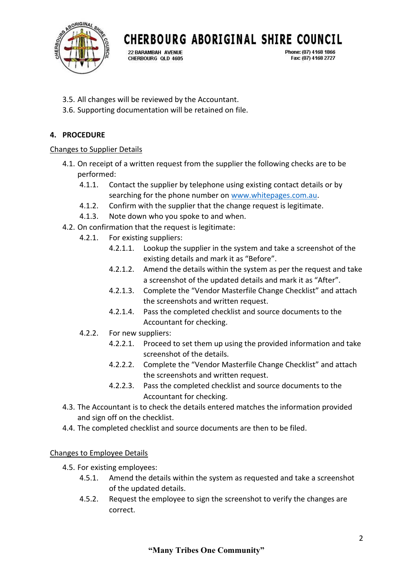

**CHERBOURG ABORIGINAL SHIRE COUNCIL** 

22 BARAMBAH AVENUE CHERBOURG OLD 4605 Phone: (07) 4168 1866 Fax: (07) 4168 2727

- 3.5. All changes will be reviewed by the Accountant.
- 3.6. Supporting documentation will be retained on file.

## **4. PROCEDURE**

### Changes to Supplier Details

- 4.1. On receipt of a written request from the supplier the following checks are to be performed:
	- 4.1.1. Contact the supplier by telephone using existing contact details or by searching for the phone number on [www.whitepages.com.au.](http://www.whitepages.com.au/)
	- 4.1.2. Confirm with the supplier that the change request is legitimate.
	- 4.1.3. Note down who you spoke to and when.
- 4.2. On confirmation that the request is legitimate:
	- 4.2.1. For existing suppliers:
		- 4.2.1.1. Lookup the supplier in the system and take a screenshot of the existing details and mark it as "Before".
		- 4.2.1.2. Amend the details within the system as per the request and take a screenshot of the updated details and mark it as "After".
		- 4.2.1.3. Complete the "Vendor Masterfile Change Checklist" and attach the screenshots and written request.
		- 4.2.1.4. Pass the completed checklist and source documents to the Accountant for checking.
	- 4.2.2. For new suppliers:
		- 4.2.2.1. Proceed to set them up using the provided information and take screenshot of the details.
		- 4.2.2.2. Complete the "Vendor Masterfile Change Checklist" and attach the screenshots and written request.
		- 4.2.2.3. Pass the completed checklist and source documents to the Accountant for checking.
- 4.3. The Accountant is to check the details entered matches the information provided and sign off on the checklist.
- 4.4. The completed checklist and source documents are then to be filed.

### Changes to Employee Details

- 4.5. For existing employees:
	- 4.5.1. Amend the details within the system as requested and take a screenshot of the updated details.
	- 4.5.2. Request the employee to sign the screenshot to verify the changes are correct.